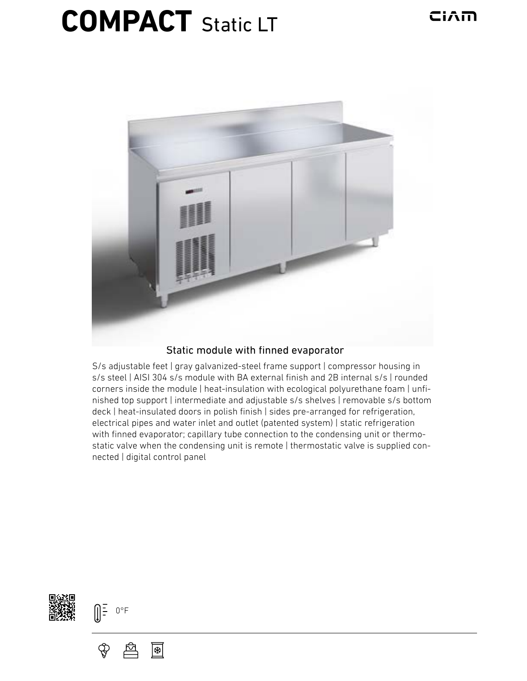## **COMPACT** Static LT



## Static module with finned evaporator

S/s adjustable feet | gray galvanized-steel frame support | compressor housing in s/s steel | AISI 304 s/s module with BA external finish and 2B internal s/s | rounded corners inside the module | heat-insulation with ecological polyurethane foam | unfinished top support | intermediate and adjustable s/s shelves | removable s/s bottom deck | heat-insulated doors in polish finish | sides pre-arranged for refrigeration, electrical pipes and water inlet and outlet (patented system) | static refrigeration with finned evaporator; capillary tube connection to the condensing unit or thermostatic valve when the condensing unit is remote | thermostatic valve is supplied connected | digital control panel





 $\bigcirc \hspace{-1.25mm}$ 

应 降